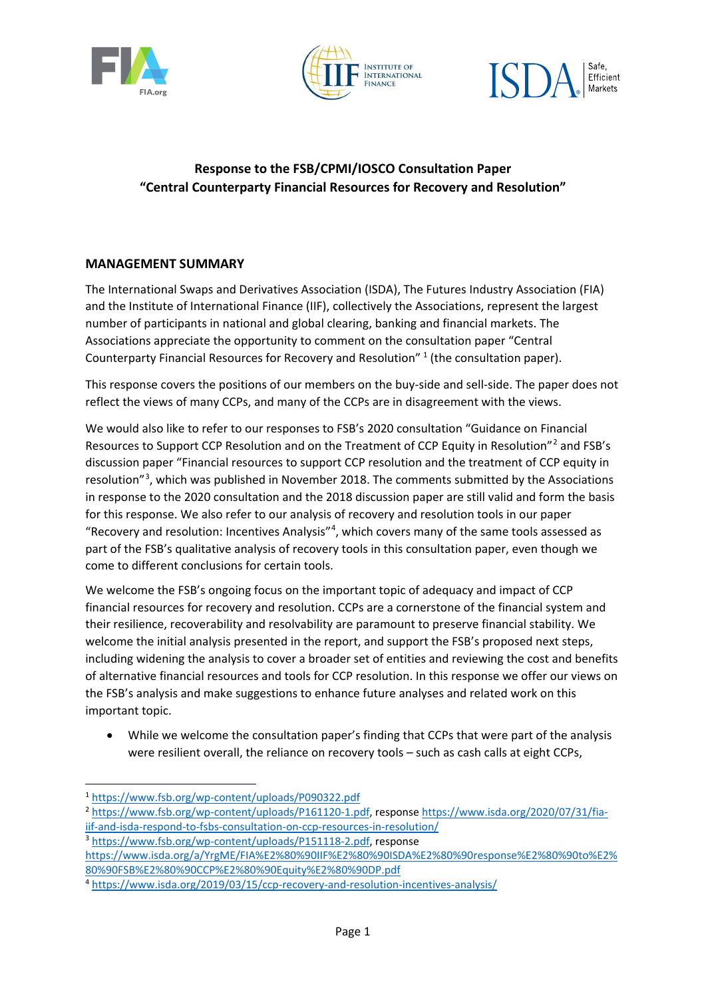





# **Response to the FSB/CPMI/IOSCO Consultation Paper "Central Counterparty Financial Resources for Recovery and Resolution"**

# **MANAGEMENT SUMMARY**

The International Swaps and Derivatives Association (ISDA), The Futures Industry Association (FIA) and the Institute of International Finance (IIF), collectively the Associations, represent the largest number of participants in national and global clearing, banking and financial markets. The Associations appreciate the opportunity to comment on the consultation paper "Central Counterparty Financial Resources for Recovery and Resolution" [1](#page-0-0) (the consultation paper).

This response covers the positions of our members on the buy-side and sell-side. The paper does not reflect the views of many CCPs, and many of the CCPs are in disagreement with the views.

We would also like to refer to our responses to FSB's 2020 consultation "Guidance on Financial Resources to Support CCP Resolution and on the Treatment of CCP Equity in Resolution"<sup>[2](#page-0-1)</sup> and FSB's discussion paper "Financial resources to support CCP resolution and the treatment of CCP equity in resolution"<sup>[3](#page-0-2)</sup>, which was published in November 2018. The comments submitted by the Associations in response to the 2020 consultation and the 2018 discussion paper are still valid and form the basis for this response. We also refer to our analysis of recovery and resolution tools in our paper "Recovery and resolution: Incentives Analysis"[4](#page-0-3) , which covers many of the same tools assessed as part of the FSB's qualitative analysis of recovery tools in this consultation paper, even though we come to different conclusions for certain tools.

We welcome the FSB's ongoing focus on the important topic of adequacy and impact of CCP financial resources for recovery and resolution. CCPs are a cornerstone of the financial system and their resilience, recoverability and resolvability are paramount to preserve financial stability. We welcome the initial analysis presented in the report, and support the FSB's proposed next steps, including widening the analysis to cover a broader set of entities and reviewing the cost and benefits of alternative financial resources and tools for CCP resolution. In this response we offer our views on the FSB's analysis and make suggestions to enhance future analyses and related work on this important topic.

• While we welcome the consultation paper's finding that CCPs that were part of the analysis were resilient overall, the reliance on recovery tools – such as cash calls at eight CCPs,

<span id="page-0-0"></span><sup>1</sup> <https://www.fsb.org/wp-content/uploads/P090322.pdf>

<span id="page-0-1"></span><sup>2</sup> [https://www.fsb.org/wp-content/uploads/P161120-1.pdf,](https://www.fsb.org/wp-content/uploads/P161120-1.pdf) response [https://www.isda.org/2020/07/31/fia](https://www.isda.org/2020/07/31/fia-iif-and-isda-respond-to-fsbs-consultation-on-ccp-resources-in-resolution/)[iif-and-isda-respond-to-fsbs-consultation-on-ccp-resources-in-resolution/](https://www.isda.org/2020/07/31/fia-iif-and-isda-respond-to-fsbs-consultation-on-ccp-resources-in-resolution/)

<span id="page-0-2"></span><sup>3</sup> [https://www.fsb.org/wp-content/uploads/P151118-2.pdf,](https://www.fsb.org/wp-content/uploads/P151118-2.pdf) response

[https://www.isda.org/a/YrgME/FIA%E2%80%90IIF%E2%80%90ISDA%E2%80%90response%E2%80%90to%E2%](https://www.isda.org/a/YrgME/FIA%E2%80%90IIF%E2%80%90ISDA%E2%80%90response%E2%80%90to%E2%80%90FSB%E2%80%90CCP%E2%80%90Equity%E2%80%90DP.pdf) [80%90FSB%E2%80%90CCP%E2%80%90Equity%E2%80%90DP.pdf](https://www.isda.org/a/YrgME/FIA%E2%80%90IIF%E2%80%90ISDA%E2%80%90response%E2%80%90to%E2%80%90FSB%E2%80%90CCP%E2%80%90Equity%E2%80%90DP.pdf)

<span id="page-0-3"></span><sup>4</sup> <https://www.isda.org/2019/03/15/ccp-recovery-and-resolution-incentives-analysis/>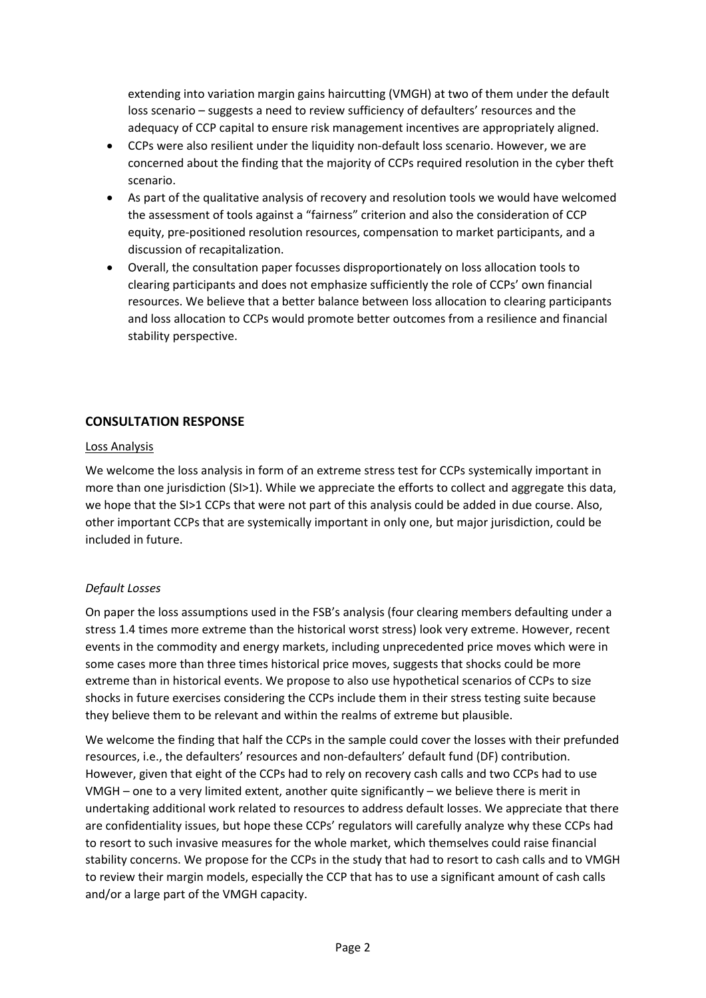extending into variation margin gains haircutting (VMGH) at two of them under the default loss scenario – suggests a need to review sufficiency of defaulters' resources and the adequacy of CCP capital to ensure risk management incentives are appropriately aligned.

- CCPs were also resilient under the liquidity non-default loss scenario. However, we are concerned about the finding that the majority of CCPs required resolution in the cyber theft scenario.
- As part of the qualitative analysis of recovery and resolution tools we would have welcomed the assessment of tools against a "fairness" criterion and also the consideration of CCP equity, pre-positioned resolution resources, compensation to market participants, and a discussion of recapitalization.
- Overall, the consultation paper focusses disproportionately on loss allocation tools to clearing participants and does not emphasize sufficiently the role of CCPs' own financial resources. We believe that a better balance between loss allocation to clearing participants and loss allocation to CCPs would promote better outcomes from a resilience and financial stability perspective.

# **CONSULTATION RESPONSE**

## Loss Analysis

We welcome the loss analysis in form of an extreme stress test for CCPs systemically important in more than one jurisdiction (SI>1). While we appreciate the efforts to collect and aggregate this data, we hope that the SI>1 CCPs that were not part of this analysis could be added in due course. Also, other important CCPs that are systemically important in only one, but major jurisdiction, could be included in future.

# *Default Losses*

On paper the loss assumptions used in the FSB's analysis (four clearing members defaulting under a stress 1.4 times more extreme than the historical worst stress) look very extreme. However, recent events in the commodity and energy markets, including unprecedented price moves which were in some cases more than three times historical price moves, suggests that shocks could be more extreme than in historical events. We propose to also use hypothetical scenarios of CCPs to size shocks in future exercises considering the CCPs include them in their stress testing suite because they believe them to be relevant and within the realms of extreme but plausible.

We welcome the finding that half the CCPs in the sample could cover the losses with their prefunded resources, i.e., the defaulters' resources and non-defaulters' default fund (DF) contribution. However, given that eight of the CCPs had to rely on recovery cash calls and two CCPs had to use VMGH – one to a very limited extent, another quite significantly – we believe there is merit in undertaking additional work related to resources to address default losses. We appreciate that there are confidentiality issues, but hope these CCPs' regulators will carefully analyze why these CCPs had to resort to such invasive measures for the whole market, which themselves could raise financial stability concerns. We propose for the CCPs in the study that had to resort to cash calls and to VMGH to review their margin models, especially the CCP that has to use a significant amount of cash calls and/or a large part of the VMGH capacity.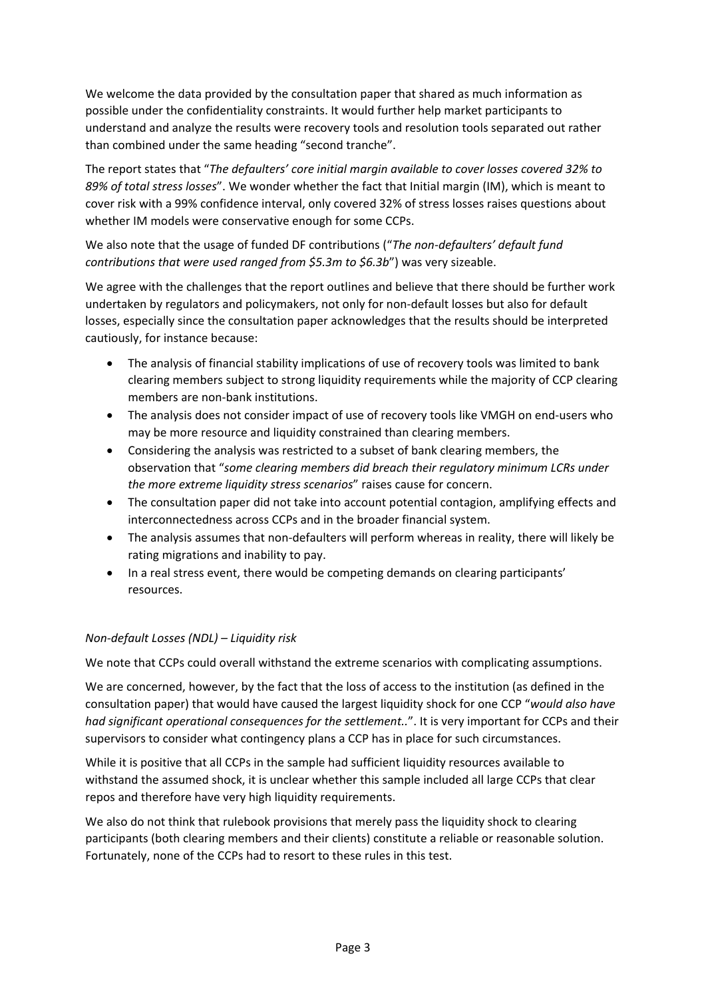We welcome the data provided by the consultation paper that shared as much information as possible under the confidentiality constraints. It would further help market participants to understand and analyze the results were recovery tools and resolution tools separated out rather than combined under the same heading "second tranche".

The report states that "*The defaulters' core initial margin available to cover losses covered 32% to 89% of total stress losses*". We wonder whether the fact that Initial margin (IM), which is meant to cover risk with a 99% confidence interval, only covered 32% of stress losses raises questions about whether IM models were conservative enough for some CCPs.

# We also note that the usage of funded DF contributions ("*The non-defaulters' default fund contributions that were used ranged from \$5.3m to \$6.3b*") was very sizeable.

We agree with the challenges that the report outlines and believe that there should be further work undertaken by regulators and policymakers, not only for non-default losses but also for default losses, especially since the consultation paper acknowledges that the results should be interpreted cautiously, for instance because:

- The analysis of financial stability implications of use of recovery tools was limited to bank clearing members subject to strong liquidity requirements while the majority of CCP clearing members are non-bank institutions.
- The analysis does not consider impact of use of recovery tools like VMGH on end-users who may be more resource and liquidity constrained than clearing members.
- Considering the analysis was restricted to a subset of bank clearing members, the observation that "*some clearing members did breach their regulatory minimum LCRs under the more extreme liquidity stress scenarios*" raises cause for concern.
- The consultation paper did not take into account potential contagion, amplifying effects and interconnectedness across CCPs and in the broader financial system.
- The analysis assumes that non-defaulters will perform whereas in reality, there will likely be rating migrations and inability to pay.
- In a real stress event, there would be competing demands on clearing participants' resources.

# *Non-default Losses (NDL) – Liquidity risk*

We note that CCPs could overall withstand the extreme scenarios with complicating assumptions.

We are concerned, however, by the fact that the loss of access to the institution (as defined in the consultation paper) that would have caused the largest liquidity shock for one CCP "*would also have had significant operational consequences for the settlement..*". It is very important for CCPs and their supervisors to consider what contingency plans a CCP has in place for such circumstances.

While it is positive that all CCPs in the sample had sufficient liquidity resources available to withstand the assumed shock, it is unclear whether this sample included all large CCPs that clear repos and therefore have very high liquidity requirements.

We also do not think that rulebook provisions that merely pass the liquidity shock to clearing participants (both clearing members and their clients) constitute a reliable or reasonable solution. Fortunately, none of the CCPs had to resort to these rules in this test.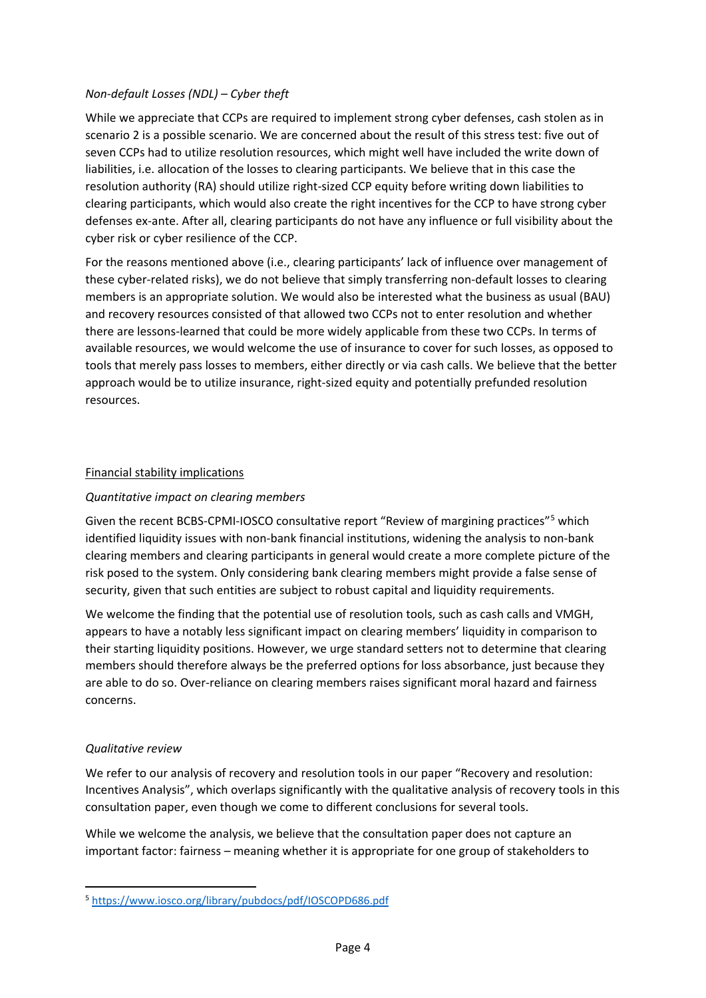# *Non-default Losses (NDL) – Cyber theft*

While we appreciate that CCPs are required to implement strong cyber defenses, cash stolen as in scenario 2 is a possible scenario. We are concerned about the result of this stress test: five out of seven CCPs had to utilize resolution resources, which might well have included the write down of liabilities, i.e. allocation of the losses to clearing participants. We believe that in this case the resolution authority (RA) should utilize right-sized CCP equity before writing down liabilities to clearing participants, which would also create the right incentives for the CCP to have strong cyber defenses ex-ante. After all, clearing participants do not have any influence or full visibility about the cyber risk or cyber resilience of the CCP.

For the reasons mentioned above (i.e., clearing participants' lack of influence over management of these cyber-related risks), we do not believe that simply transferring non-default losses to clearing members is an appropriate solution. We would also be interested what the business as usual (BAU) and recovery resources consisted of that allowed two CCPs not to enter resolution and whether there are lessons-learned that could be more widely applicable from these two CCPs. In terms of available resources, we would welcome the use of insurance to cover for such losses, as opposed to tools that merely pass losses to members, either directly or via cash calls. We believe that the better approach would be to utilize insurance, right-sized equity and potentially prefunded resolution resources.

## Financial stability implications

#### *Quantitative impact on clearing members*

Given the recent BCBS-CPMI-IOSCO consultative report "Review of margining practices"<sup>[5](#page-3-0)</sup> which identified liquidity issues with non-bank financial institutions, widening the analysis to non-bank clearing members and clearing participants in general would create a more complete picture of the risk posed to the system. Only considering bank clearing members might provide a false sense of security, given that such entities are subject to robust capital and liquidity requirements.

We welcome the finding that the potential use of resolution tools, such as cash calls and VMGH, appears to have a notably less significant impact on clearing members' liquidity in comparison to their starting liquidity positions. However, we urge standard setters not to determine that clearing members should therefore always be the preferred options for loss absorbance, just because they are able to do so. Over-reliance on clearing members raises significant moral hazard and fairness concerns.

#### *Qualitative review*

We refer to our analysis of recovery and resolution tools in our paper "Recovery and resolution: Incentives Analysis", which overlaps significantly with the qualitative analysis of recovery tools in this consultation paper, even though we come to different conclusions for several tools.

While we welcome the analysis, we believe that the consultation paper does not capture an important factor: fairness – meaning whether it is appropriate for one group of stakeholders to

<span id="page-3-0"></span><sup>5</sup> <https://www.iosco.org/library/pubdocs/pdf/IOSCOPD686.pdf>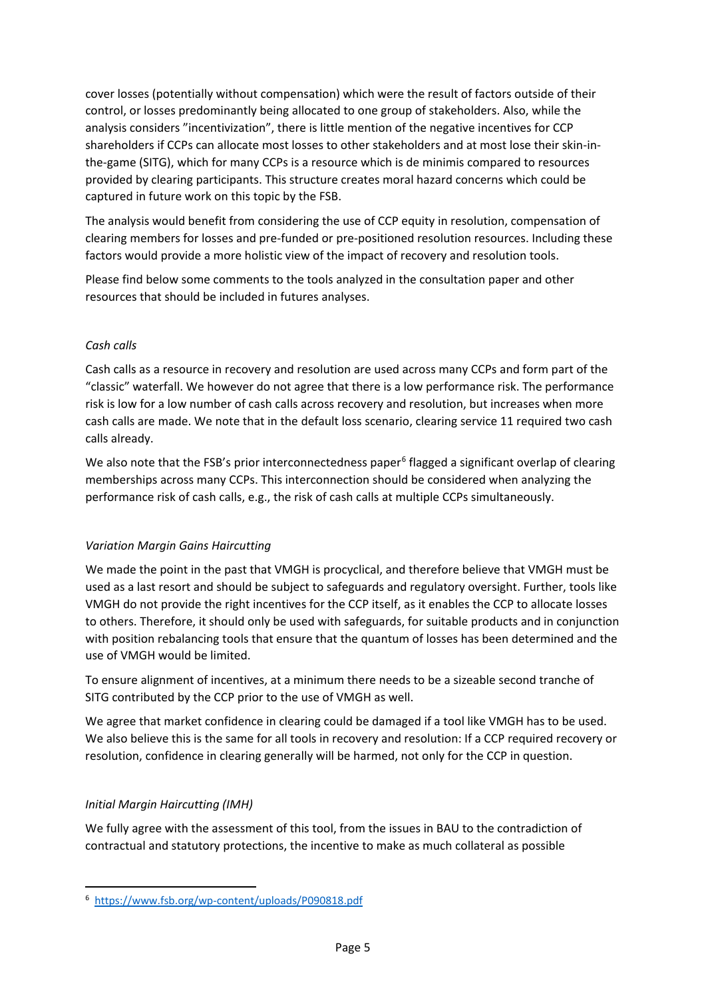cover losses (potentially without compensation) which were the result of factors outside of their control, or losses predominantly being allocated to one group of stakeholders. Also, while the analysis considers "incentivization", there is little mention of the negative incentives for CCP shareholders if CCPs can allocate most losses to other stakeholders and at most lose their skin-inthe-game (SITG), which for many CCPs is a resource which is de minimis compared to resources provided by clearing participants. This structure creates moral hazard concerns which could be captured in future work on this topic by the FSB.

The analysis would benefit from considering the use of CCP equity in resolution, compensation of clearing members for losses and pre-funded or pre-positioned resolution resources. Including these factors would provide a more holistic view of the impact of recovery and resolution tools.

Please find below some comments to the tools analyzed in the consultation paper and other resources that should be included in futures analyses.

# *Cash calls*

Cash calls as a resource in recovery and resolution are used across many CCPs and form part of the "classic" waterfall. We however do not agree that there is a low performance risk. The performance risk is low for a low number of cash calls across recovery and resolution, but increases when more cash calls are made. We note that in the default loss scenario, clearing service 11 required two cash calls already.

We also note that the FSB's prior interconnectedness paper<sup>[6](#page-4-0)</sup> flagged a significant overlap of clearing memberships across many CCPs. This interconnection should be considered when analyzing the performance risk of cash calls, e.g., the risk of cash calls at multiple CCPs simultaneously.

# *Variation Margin Gains Haircutting*

We made the point in the past that VMGH is procyclical, and therefore believe that VMGH must be used as a last resort and should be subject to safeguards and regulatory oversight. Further, tools like VMGH do not provide the right incentives for the CCP itself, as it enables the CCP to allocate losses to others. Therefore, it should only be used with safeguards, for suitable products and in conjunction with position rebalancing tools that ensure that the quantum of losses has been determined and the use of VMGH would be limited.

To ensure alignment of incentives, at a minimum there needs to be a sizeable second tranche of SITG contributed by the CCP prior to the use of VMGH as well.

We agree that market confidence in clearing could be damaged if a tool like VMGH has to be used. We also believe this is the same for all tools in recovery and resolution: If a CCP required recovery or resolution, confidence in clearing generally will be harmed, not only for the CCP in question.

# *Initial Margin Haircutting (IMH)*

We fully agree with the assessment of this tool, from the issues in BAU to the contradiction of contractual and statutory protections, the incentive to make as much collateral as possible

<span id="page-4-0"></span><sup>6</sup> <https://www.fsb.org/wp-content/uploads/P090818.pdf>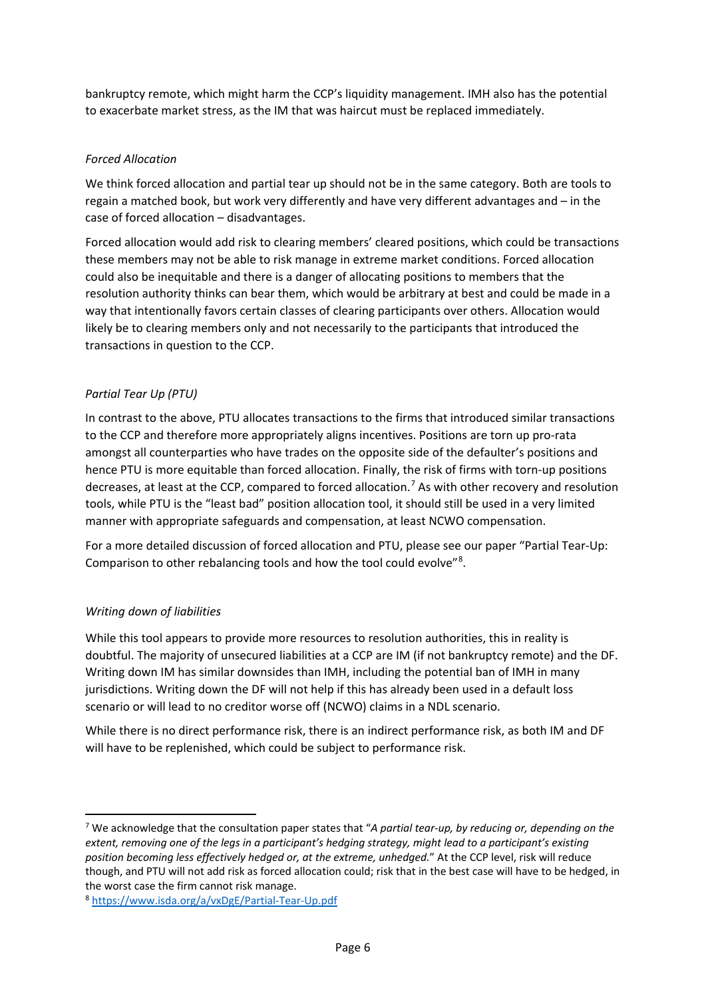bankruptcy remote, which might harm the CCP's liquidity management. IMH also has the potential to exacerbate market stress, as the IM that was haircut must be replaced immediately.

# *Forced Allocation*

We think forced allocation and partial tear up should not be in the same category. Both are tools to regain a matched book, but work very differently and have very different advantages and – in the case of forced allocation – disadvantages.

Forced allocation would add risk to clearing members' cleared positions, which could be transactions these members may not be able to risk manage in extreme market conditions. Forced allocation could also be inequitable and there is a danger of allocating positions to members that the resolution authority thinks can bear them, which would be arbitrary at best and could be made in a way that intentionally favors certain classes of clearing participants over others. Allocation would likely be to clearing members only and not necessarily to the participants that introduced the transactions in question to the CCP.

# *Partial Tear Up (PTU)*

In contrast to the above, PTU allocates transactions to the firms that introduced similar transactions to the CCP and therefore more appropriately aligns incentives. Positions are torn up pro-rata amongst all counterparties who have trades on the opposite side of the defaulter's positions and hence PTU is more equitable than forced allocation. Finally, the risk of firms with torn-up positions decreases, at least at the CCP, compared to forced allocation.[7](#page-5-0) As with other recovery and resolution tools, while PTU is the "least bad" position allocation tool, it should still be used in a very limited manner with appropriate safeguards and compensation, at least NCWO compensation.

For a more detailed discussion of forced allocation and PTU, please see our paper "Partial Tear-Up: Comparison to other rebalancing tools and how the tool could evolve"<sup>[8](#page-5-1)</sup>.

# *Writing down of liabilities*

While this tool appears to provide more resources to resolution authorities, this in reality is doubtful. The majority of unsecured liabilities at a CCP are IM (if not bankruptcy remote) and the DF. Writing down IM has similar downsides than IMH, including the potential ban of IMH in many jurisdictions. Writing down the DF will not help if this has already been used in a default loss scenario or will lead to no creditor worse off (NCWO) claims in a NDL scenario.

While there is no direct performance risk, there is an indirect performance risk, as both IM and DF will have to be replenished, which could be subject to performance risk.

<span id="page-5-0"></span><sup>7</sup> We acknowledge that the consultation paper states that "*A partial tear-up, by reducing or, depending on the extent, removing one of the legs in a participant's hedging strategy, might lead to a participant's existing position becoming less effectively hedged or, at the extreme, unhedged.*" At the CCP level, risk will reduce though, and PTU will not add risk as forced allocation could; risk that in the best case will have to be hedged, in the worst case the firm cannot risk manage.

<span id="page-5-1"></span><sup>8</sup> <https://www.isda.org/a/vxDgE/Partial-Tear-Up.pdf>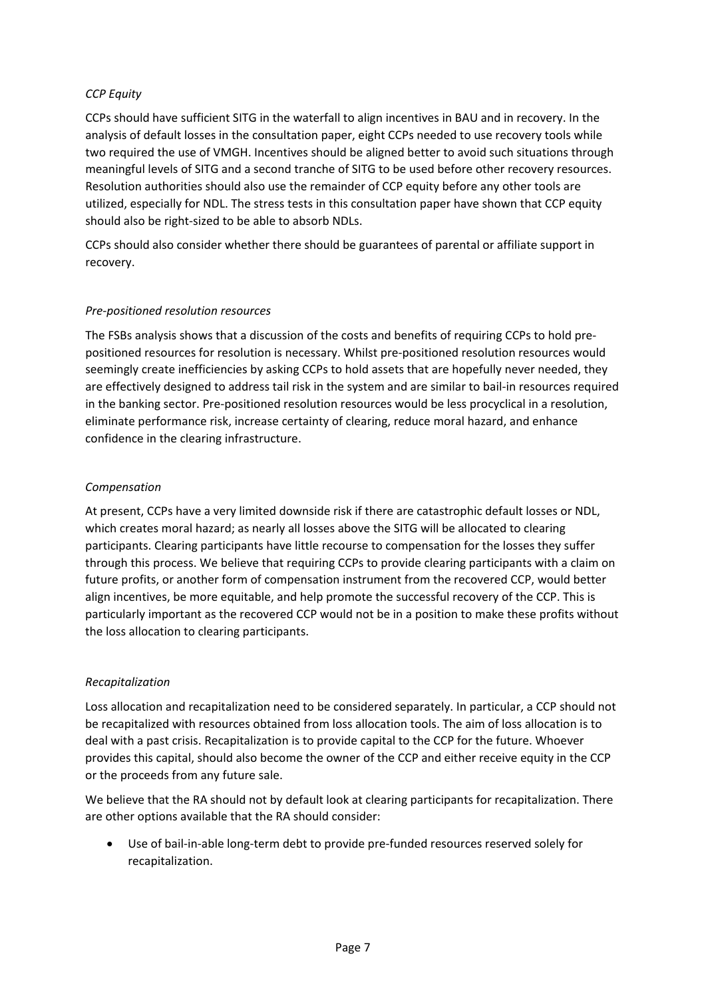# *CCP Equity*

CCPs should have sufficient SITG in the waterfall to align incentives in BAU and in recovery. In the analysis of default losses in the consultation paper, eight CCPs needed to use recovery tools while two required the use of VMGH. Incentives should be aligned better to avoid such situations through meaningful levels of SITG and a second tranche of SITG to be used before other recovery resources. Resolution authorities should also use the remainder of CCP equity before any other tools are utilized, especially for NDL. The stress tests in this consultation paper have shown that CCP equity should also be right-sized to be able to absorb NDLs.

CCPs should also consider whether there should be guarantees of parental or affiliate support in recovery.

#### *Pre-positioned resolution resources*

The FSBs analysis shows that a discussion of the costs and benefits of requiring CCPs to hold prepositioned resources for resolution is necessary. Whilst pre-positioned resolution resources would seemingly create inefficiencies by asking CCPs to hold assets that are hopefully never needed, they are effectively designed to address tail risk in the system and are similar to bail-in resources required in the banking sector. Pre-positioned resolution resources would be less procyclical in a resolution, eliminate performance risk, increase certainty of clearing, reduce moral hazard, and enhance confidence in the clearing infrastructure.

## *Compensation*

At present, CCPs have a very limited downside risk if there are catastrophic default losses or NDL, which creates moral hazard; as nearly all losses above the SITG will be allocated to clearing participants. Clearing participants have little recourse to compensation for the losses they suffer through this process. We believe that requiring CCPs to provide clearing participants with a claim on future profits, or another form of compensation instrument from the recovered CCP, would better align incentives, be more equitable, and help promote the successful recovery of the CCP. This is particularly important as the recovered CCP would not be in a position to make these profits without the loss allocation to clearing participants.

# *Recapitalization*

Loss allocation and recapitalization need to be considered separately. In particular, a CCP should not be recapitalized with resources obtained from loss allocation tools. The aim of loss allocation is to deal with a past crisis. Recapitalization is to provide capital to the CCP for the future. Whoever provides this capital, should also become the owner of the CCP and either receive equity in the CCP or the proceeds from any future sale.

We believe that the RA should not by default look at clearing participants for recapitalization. There are other options available that the RA should consider:

• Use of bail-in-able long-term debt to provide pre-funded resources reserved solely for recapitalization.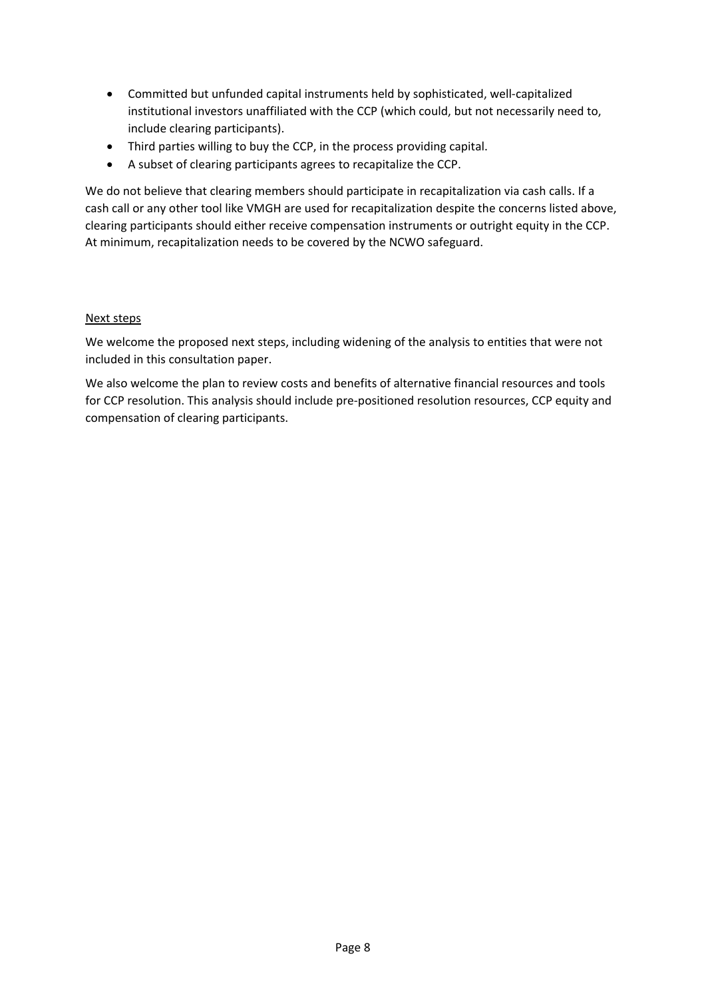- Committed but unfunded capital instruments held by sophisticated, well-capitalized institutional investors unaffiliated with the CCP (which could, but not necessarily need to, include clearing participants).
- Third parties willing to buy the CCP, in the process providing capital.
- A subset of clearing participants agrees to recapitalize the CCP.

We do not believe that clearing members should participate in recapitalization via cash calls. If a cash call or any other tool like VMGH are used for recapitalization despite the concerns listed above, clearing participants should either receive compensation instruments or outright equity in the CCP. At minimum, recapitalization needs to be covered by the NCWO safeguard.

## Next steps

We welcome the proposed next steps, including widening of the analysis to entities that were not included in this consultation paper.

We also welcome the plan to review costs and benefits of alternative financial resources and tools for CCP resolution. This analysis should include pre-positioned resolution resources, CCP equity and compensation of clearing participants.